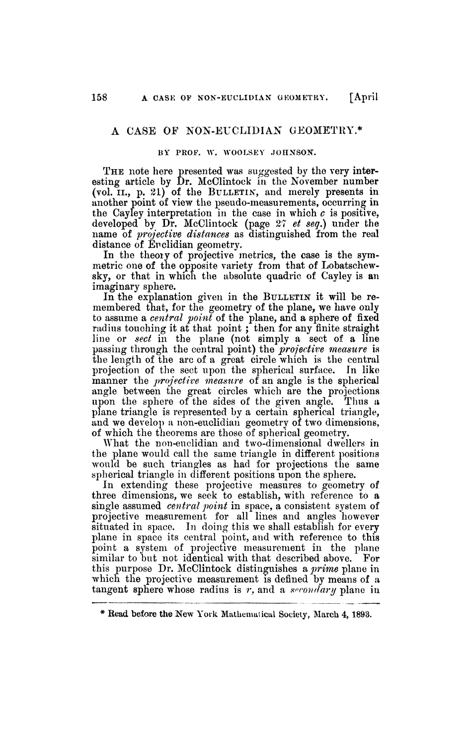## A CASE OF NON-EUCLIDIAN GEOMETRY.\*

## **BY PROF. W. WOOLSEY JOHNSON.**

THE note here presented was suggested by the very interesting article by Dr. McClintock in the November number (vol. II., p. 21) of the BULLETIN, and merely presents in another point of view the pseudo-measurements, occurring in the Cayley interpretation in the case in which  $c$  is positive, developed by Dr. McClintock (page *27 et seq.)* under the name of *projective distances* as distinguished from the real distance of Euclidian geometry.

In the theory of projective metrics, the case is the symmetric one of the opposite variety from that of Lobatschewsky, or that in which the absolute quadric of Cayley is an imaginary sphere.

In the explanation given in the BULLETIN it will be remembered that, for the geometry of the plane, we have only to assume a *central 'point* of the plane, and a sphere of fixed radius touching it at that point; then for any finite straight line or *sect* in the plane (not simply a sect of a line passing through the central point) the *projective measure* is the length of the arc of a great circle which is the central projection of the sect upon the spherical surface. In like manner the *projective measure* of an angle is the spherical angle between the great circles which are the projections upon the sphere of the sides of the given angle. Thus a plane triangle is represented by a certain spherical triangle, and we develop a non-euclidian geometry of two dimensions, of which the theorems are those of spherical geometry.

What the non-euclidian and two-dimensional dwellers in the plane would call the same triangle in different positions would be such triangles as had for projections the same spherical triangle in different positions upon the sphere.

In extending these projective measures to geometry of three dimensions, we seek to establish, with reference to a single assumed *central point* in space, a consistent system of projective measurement for all lines and angles however situated in space. In doing this we shall establish for every plane in space its central point, and with reference to this point a system of projective measurement in the plane similar to but not identical with that described above. For this purpose Dr. McClintock distinguishes a *prime* plane in which the projective measurement is defined by means of a tangent sphere whose radius is *r,* and a *secondary* plane in

<sup>\*</sup> Read before the New York Mathematical Society, March 4, 1893.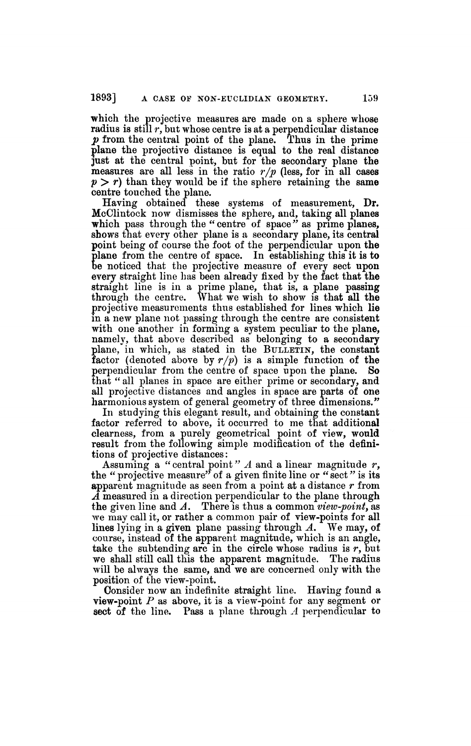which the projective measures are made on a sphere whose radius is still *r,* but whose centre is at a perpendicular distance *p* from the central point of the plane. Thus in the prime plane the projective distance is equal to the real distance just at the central point, but for the secondary plane the measures are all less in the ratio *r/p* (less, for in all cases  $p > r$ ) than they would be if the sphere retaining the same centre touched the plane.

Having obtained these systems of measurement, Dr. McClintock now dismisses the sphere, and, taking all planes which pass through the "centre of space" as prime planes, shows that every other plane is a secondary plane, its central point being of course the foot of the perpendicular upon the plane from the centre of space. In establishing this it is to be noticed that the projective measure of every sect upon every straight line has been already fixed by the fact that the straight line is in a prime plane, that is, a plane passing through the centre. What we wish to show is that all the projective measurements thus established for lines which lie in a new plane not passing through the centre are consistent with one another in forming a system peculiar to the plane, namely, that above described as belonging to a secondary plane, in which, as stated in the BULLETIN, the constant **factor** (denoted above by  $r/p$ ) is a simple function of the perpendicular from the centre of space upon the plane. So that " all planes in space are either prime or secondary, and all projective distances and angles in space are parts of one harmonious system of general geometry of three dimensions.*"* 

In studying this elegant result, and obtaining the constant factor referred to above, it occurred to me that additional clearness, from a purely geometrical point of view, would result from the following simple modification of the definitions of projective distances :

Assuming a "central point" A and a linear magnitude r, the " projective measure" of a given finite line or " sect *"* is its apparent magnitude as seen from a point at a distance *r* from *A* measured in a direction perpendicular to the plane through the given line and *A*. There is thus a common *view-point,* as we may call it, or rather a common pair of view-points for all lines lying in a given plane passing through *A.* We may, of course, instead of the apparent magnitude, which is an angle, take the subtending arc in the circle whose radius is  $r$ , but we shall still call this the apparent magnitude. The radius will be always the same, and we are concerned only with the position of the view-point.

Consider now an indefinite straight line. Having found a view-point *P* as above, it is a view-point for any segment or sect of the line. Pass a plane through *A* perpendicular to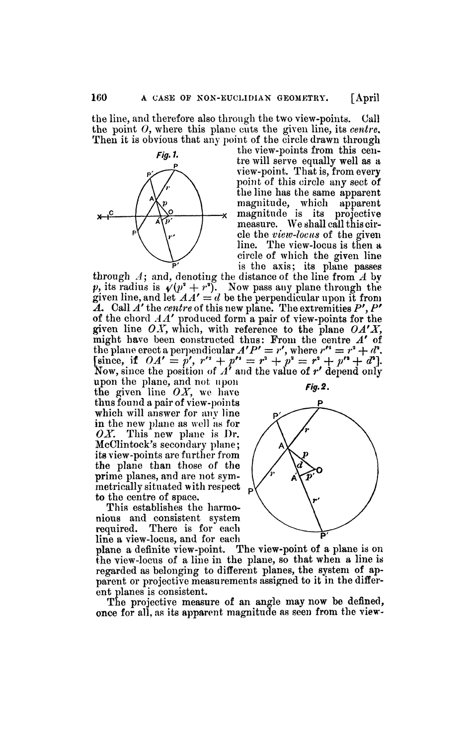the line, and therefore also through the two view-points. Call the point *0,* where this plane cuts the given line, its *centre.*  Then it is obvious that any point of the circle drawn through



the view-points from this centre will serve equally well as a view-point. That is, from every point of this circle any sect of the line has the same apparent magnitude, which apparent -x magnitude is its projective measure. We shall call this circle the *view-locus* of the given line. The view-locus is then a circle of which the given line is the axis; its plane passes

through *A;* and, denoting the distance of the line from *A* by *p*, its radius is  $\sqrt{p^2 + r^2}$ . Now pass any plane through the given line, and let  $AA' = d$  be the perpendicular upon it from  $\tilde{A}$ . Call  $\tilde{A}'$  the *centre* of this new plane. The extremities  $P', P'$ of the chord *A A'* produced form a pair of view-points for the given line *OX,* which, with reference to the plane *OA'X,*  might have been constructed thus: Prom the centre *A'* of the plane erect a perpendicular  $A'P' = r'$ , where  $r'' = r^2 + d^2$ . [since, if  $OA' = p'$ ,  $r'' + p'' = r^2 + p^2 = r^2 + p'' + d^2$ ]. Now, since the position of  $A<sup>†</sup>$  and the value of  $r'$  depend only

upon the plane, and not upon  $\mathbf{Fig.2.}$ the given line  $OX$ , we have thus found a pair of view-points which will answer for any line in the new plane as well as for *OX.* This new plane is Dr. McClintock's secondary plane; its view-points are further from the plane than those of the prime planes, and are not symmetrically situated with respect to the centre of space.

This establishes the harmonious and consistent system<br>required. There is for each There is for each

line a view-locus, and for each<br>plane a definite view-point. The view-point of a plane is on plane a definite view-point. The view-point of a plane is on the view-locus of a line in the plane, so that when a line is regarded as belonging to different planes, the system of apparent or projective measurements assigned to it in the different planes is consistent.

The projective measure of an angle may now be defined, once for all, as its apparent magnitude as seen from the view-